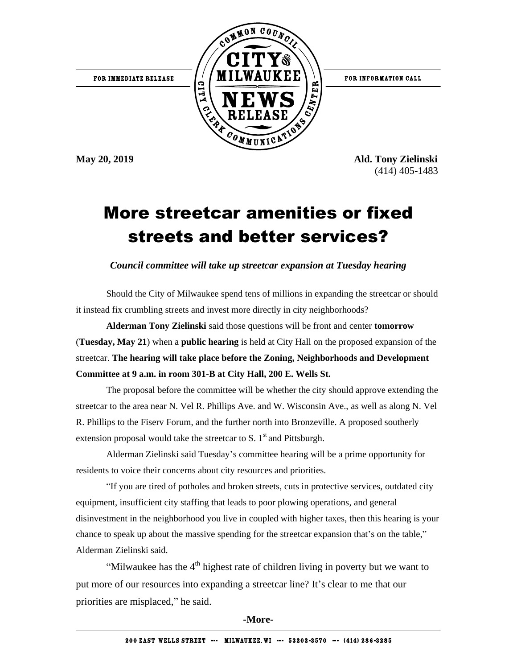

**May 20, 2019 Ald. Tony Zielinski** (414) 405-1483

## More streetcar amenities or fixed streets and better services?

*Council committee will take up streetcar expansion at Tuesday hearing*

Should the City of Milwaukee spend tens of millions in expanding the streetcar or should it instead fix crumbling streets and invest more directly in city neighborhoods?

**Alderman Tony Zielinski** said those questions will be front and center **tomorrow** (**Tuesday, May 21**) when a **public hearing** is held at City Hall on the proposed expansion of the streetcar. **The hearing will take place before the Zoning, Neighborhoods and Development Committee at 9 a.m. in room 301-B at City Hall, 200 E. Wells St.**

The proposal before the committee will be whether the city should approve extending the streetcar to the area near N. Vel R. Phillips Ave. and W. Wisconsin Ave., as well as along N. Vel R. Phillips to the Fiserv Forum, and the further north into Bronzeville. A proposed southerly extension proposal would take the streetcar to S.  $1<sup>st</sup>$  and Pittsburgh.

Alderman Zielinski said Tuesday's committee hearing will be a prime opportunity for residents to voice their concerns about city resources and priorities.

"If you are tired of potholes and broken streets, cuts in protective services, outdated city equipment, insufficient city staffing that leads to poor plowing operations, and general disinvestment in the neighborhood you live in coupled with higher taxes, then this hearing is your chance to speak up about the massive spending for the streetcar expansion that's on the table," Alderman Zielinski said.

"Milwaukee has the  $4<sup>th</sup>$  highest rate of children living in poverty but we want to put more of our resources into expanding a streetcar line? It's clear to me that our priorities are misplaced," he said.

## **-More-**